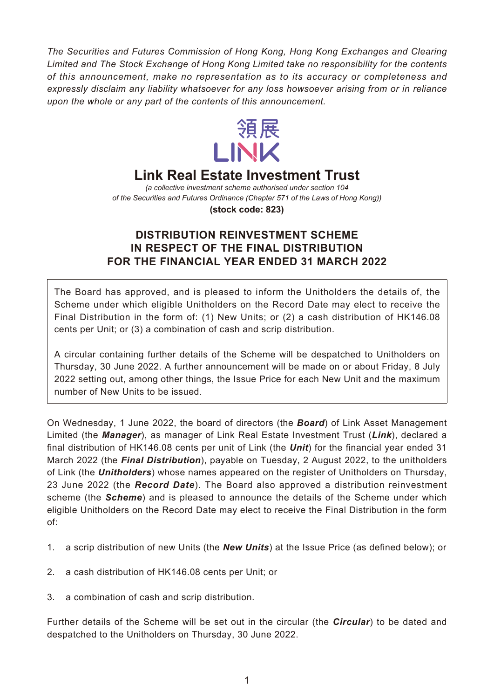*The Securities and Futures Commission of Hong Kong, Hong Kong Exchanges and Clearing Limited and The Stock Exchange of Hong Kong Limited take no responsibility for the contents of this announcement, make no representation as to its accuracy or completeness and expressly disclaim any liability whatsoever for any loss howsoever arising from or in reliance upon the whole or any part of the contents of this announcement.*



## **Link Real Estate Investment Trust**

*(a collective investment scheme authorised under section 104 of the Securities and Futures Ordinance (Chapter 571 of the Laws of Hong Kong))*

**(stock code: 823)**

## **DISTRIBUTION REINVESTMENT SCHEME IN RESPECT OF THE FINAL DISTRIBUTION FOR THE FINANCIAL YEAR ENDED 31 MARCH 2022**

The Board has approved, and is pleased to inform the Unitholders the details of, the Scheme under which eligible Unitholders on the Record Date may elect to receive the Final Distribution in the form of: (1) New Units; or (2) a cash distribution of HK146.08 cents per Unit; or (3) a combination of cash and scrip distribution.

A circular containing further details of the Scheme will be despatched to Unitholders on Thursday, 30 June 2022. A further announcement will be made on or about Friday, 8 July 2022 setting out, among other things, the Issue Price for each New Unit and the maximum number of New Units to be issued.

On Wednesday, 1 June 2022, the board of directors (the *Board*) of Link Asset Management Limited (the *Manager*), as manager of Link Real Estate Investment Trust (*Link*), declared a final distribution of HK146.08 cents per unit of Link (the *Unit*) for the financial year ended 31 March 2022 (the *Final Distribution*), payable on Tuesday, 2 August 2022, to the unitholders of Link (the *Unitholders*) whose names appeared on the register of Unitholders on Thursday, 23 June 2022 (the *Record Date*). The Board also approved a distribution reinvestment scheme (the *Scheme*) and is pleased to announce the details of the Scheme under which eligible Unitholders on the Record Date may elect to receive the Final Distribution in the form of:

- 1. a scrip distribution of new Units (the *New Units*) at the Issue Price (as defined below); or
- 2. a cash distribution of HK146.08 cents per Unit; or
- 3. a combination of cash and scrip distribution.

Further details of the Scheme will be set out in the circular (the *Circular*) to be dated and despatched to the Unitholders on Thursday, 30 June 2022.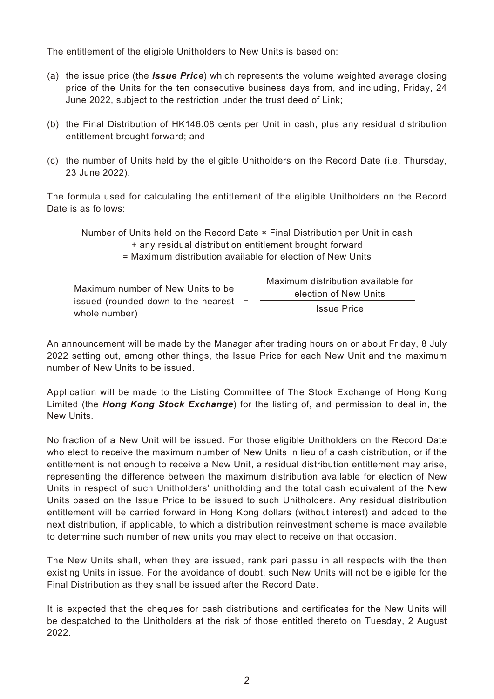The entitlement of the eligible Unitholders to New Units is based on:

- (a) the issue price (the *Issue Price*) which represents the volume weighted average closing price of the Units for the ten consecutive business days from, and including, Friday, 24 June 2022, subject to the restriction under the trust deed of Link;
- (b) the Final Distribution of HK146.08 cents per Unit in cash, plus any residual distribution entitlement brought forward; and
- (c) the number of Units held by the eligible Unitholders on the Record Date (i.e. Thursday, 23 June 2022).

The formula used for calculating the entitlement of the eligible Unitholders on the Record Date is as follows:

Number of Units held on the Record Date × Final Distribution per Unit in cash + any residual distribution entitlement brought forward

= Maximum distribution available for election of New Units

|                                         | Maximum distribution available for |
|-----------------------------------------|------------------------------------|
| Maximum number of New Units to be       | election of New Units              |
| issued (rounded down to the nearest $=$ |                                    |
| whole number)                           | <b>Issue Price</b>                 |

An announcement will be made by the Manager after trading hours on or about Friday, 8 July 2022 setting out, among other things, the Issue Price for each New Unit and the maximum number of New Units to be issued.

Application will be made to the Listing Committee of The Stock Exchange of Hong Kong Limited (the *Hong Kong Stock Exchange*) for the listing of, and permission to deal in, the New Units.

No fraction of a New Unit will be issued. For those eligible Unitholders on the Record Date who elect to receive the maximum number of New Units in lieu of a cash distribution, or if the entitlement is not enough to receive a New Unit, a residual distribution entitlement may arise, representing the difference between the maximum distribution available for election of New Units in respect of such Unitholders' unitholding and the total cash equivalent of the New Units based on the Issue Price to be issued to such Unitholders. Any residual distribution entitlement will be carried forward in Hong Kong dollars (without interest) and added to the next distribution, if applicable, to which a distribution reinvestment scheme is made available to determine such number of new units you may elect to receive on that occasion.

The New Units shall, when they are issued, rank pari passu in all respects with the then existing Units in issue. For the avoidance of doubt, such New Units will not be eligible for the Final Distribution as they shall be issued after the Record Date.

It is expected that the cheques for cash distributions and certificates for the New Units will be despatched to the Unitholders at the risk of those entitled thereto on Tuesday, 2 August 2022.